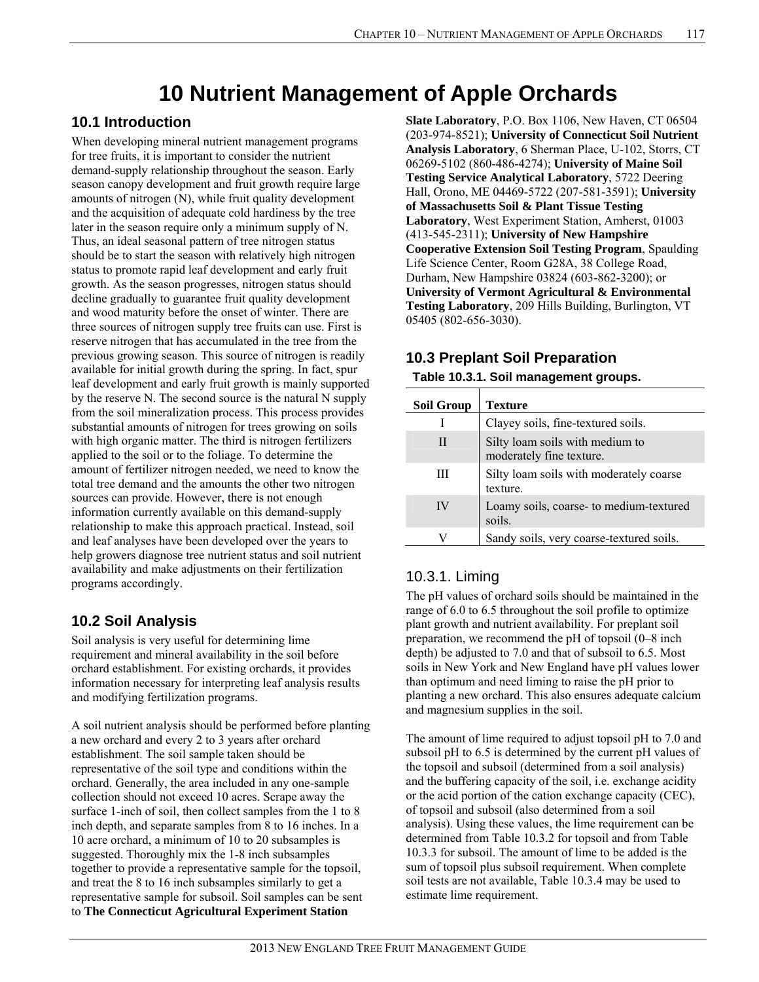# **10 Nutrient Management of Apple Orchards**

## **10.1 Introduction**

When developing mineral nutrient management programs for tree fruits, it is important to consider the nutrient demand-supply relationship throughout the season. Early season canopy development and fruit growth require large amounts of nitrogen (N), while fruit quality development and the acquisition of adequate cold hardiness by the tree later in the season require only a minimum supply of N. Thus, an ideal seasonal pattern of tree nitrogen status should be to start the season with relatively high nitrogen status to promote rapid leaf development and early fruit growth. As the season progresses, nitrogen status should decline gradually to guarantee fruit quality development and wood maturity before the onset of winter. There are three sources of nitrogen supply tree fruits can use. First is reserve nitrogen that has accumulated in the tree from the previous growing season. This source of nitrogen is readily available for initial growth during the spring. In fact, spur leaf development and early fruit growth is mainly supported by the reserve N. The second source is the natural N supply from the soil mineralization process. This process provides substantial amounts of nitrogen for trees growing on soils with high organic matter. The third is nitrogen fertilizers applied to the soil or to the foliage. To determine the amount of fertilizer nitrogen needed, we need to know the total tree demand and the amounts the other two nitrogen sources can provide. However, there is not enough information currently available on this demand-supply relationship to make this approach practical. Instead, soil and leaf analyses have been developed over the years to help growers diagnose tree nutrient status and soil nutrient availability and make adjustments on their fertilization programs accordingly.

## **10.2 Soil Analysis**

Soil analysis is very useful for determining lime requirement and mineral availability in the soil before orchard establishment. For existing orchards, it provides information necessary for interpreting leaf analysis results and modifying fertilization programs.

A soil nutrient analysis should be performed before planting a new orchard and every 2 to 3 years after orchard establishment. The soil sample taken should be representative of the soil type and conditions within the orchard. Generally, the area included in any one-sample collection should not exceed 10 acres. Scrape away the surface 1-inch of soil, then collect samples from the 1 to 8 inch depth, and separate samples from 8 to 16 inches. In a 10 acre orchard, a minimum of 10 to 20 subsamples is suggested. Thoroughly mix the 1-8 inch subsamples together to provide a representative sample for the topsoil, and treat the 8 to 16 inch subsamples similarly to get a representative sample for subsoil. Soil samples can be sent to **The Connecticut Agricultural Experiment Station** 

**Slate Laboratory**, P.O. Box 1106, New Haven, CT 06504 (203-974-8521); **University of Connecticut Soil Nutrient Analysis Laboratory**, 6 Sherman Place, U-102, Storrs, CT 06269-5102 (860-486-4274); **University of Maine Soil Testing Service Analytical Laboratory**, 5722 Deering Hall, Orono, ME 04469-5722 (207-581-3591); **University of Massachusetts Soil & Plant Tissue Testing Laboratory**, West Experiment Station, Amherst, 01003 (413-545-2311); **University of New Hampshire Cooperative Extension Soil Testing Program**, Spaulding Life Science Center, Room G28A, 38 College Road, Durham, New Hampshire 03824 (603-862-3200); or **University of Vermont Agricultural & Environmental Testing Laboratory**, 209 Hills Building, Burlington, VT 05405 (802-656-3030).

## **10.3 Preplant Soil Preparation**

# **Table 10.3.1. Soil management groups.**

| <b>Soil Group</b> | Texture                                                     |
|-------------------|-------------------------------------------------------------|
|                   | Clayey soils, fine-textured soils.                          |
| Ш                 | Silty loam soils with medium to<br>moderately fine texture. |
| Ш                 | Silty loam soils with moderately coarse<br>texture.         |
| IV                | Loamy soils, coarse- to medium-textured<br>soils.           |
|                   | Sandy soils, very coarse-textured soils.                    |

## 10.3.1. Liming

The pH values of orchard soils should be maintained in the range of 6.0 to 6.5 throughout the soil profile to optimize plant growth and nutrient availability. For preplant soil preparation, we recommend the pH of topsoil (0–8 inch depth) be adjusted to 7.0 and that of subsoil to 6.5. Most soils in New York and New England have pH values lower than optimum and need liming to raise the pH prior to planting a new orchard. This also ensures adequate calcium and magnesium supplies in the soil.

The amount of lime required to adjust topsoil pH to 7.0 and subsoil pH to 6.5 is determined by the current pH values of the topsoil and subsoil (determined from a soil analysis) and the buffering capacity of the soil, i.e. exchange acidity or the acid portion of the cation exchange capacity (CEC), of topsoil and subsoil (also determined from a soil analysis). Using these values, the lime requirement can be determined from Table 10.3.2 for topsoil and from Table 10.3.3 for subsoil. The amount of lime to be added is the sum of topsoil plus subsoil requirement. When complete soil tests are not available, Table 10.3.4 may be used to estimate lime requirement.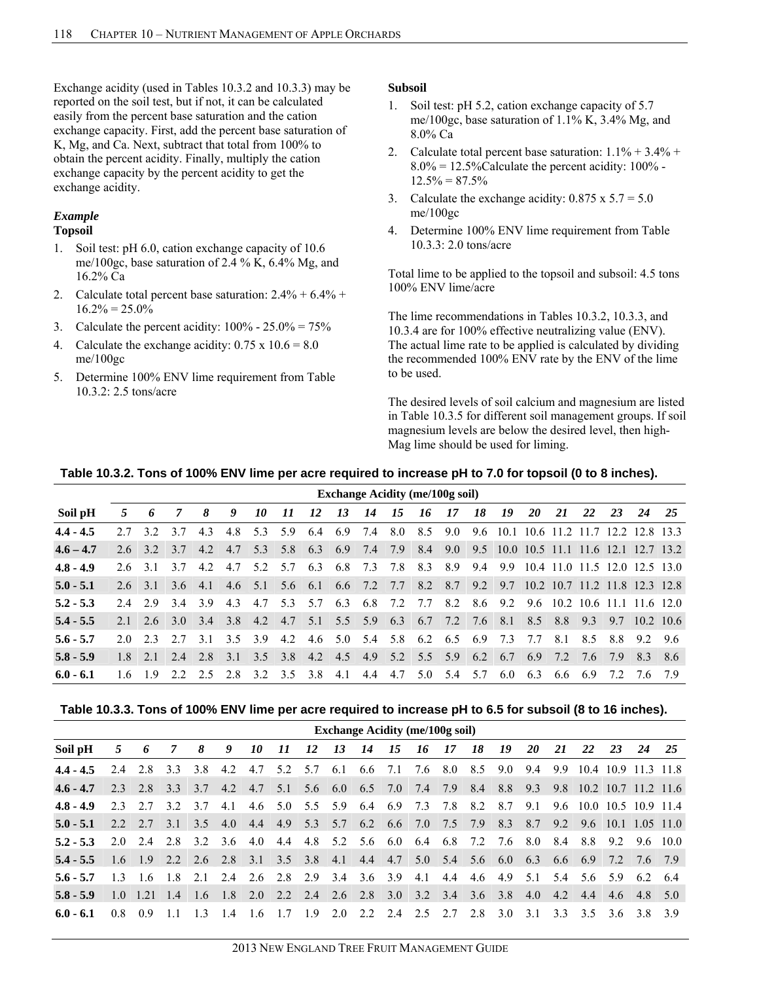Exchange acidity (used in Tables 10.3.2 and 10.3.3) may be reported on the soil test, but if not, it can be calculated easily from the percent base saturation and the cation exchange capacity. First, add the percent base saturation of K, Mg, and Ca. Next, subtract that total from 100% to obtain the percent acidity. Finally, multiply the cation exchange capacity by the percent acidity to get the exchange acidity.

#### *Example*  **Topsoil**

- 1. Soil test: pH 6.0, cation exchange capacity of 10.6 me/100gc, base saturation of 2.4 % K, 6.4% Mg, and 16.2% Ca
- 2. Calculate total percent base saturation:  $2.4\% + 6.4\% +$  $16.2\% = 25.0\%$
- 3. Calculate the percent acidity:  $100\% 25.0\% = 75\%$
- 4. Calculate the exchange acidity:  $0.75 \times 10.6 = 8.0$ me/100gc
- 5. Determine 100% ENV lime requirement from Table 10.3.2: 2.5 tons/acre

#### **Subsoil**

- 1. Soil test: pH 5.2, cation exchange capacity of 5.7 me/100gc, base saturation of 1.1% K, 3.4% Mg, and 8.0% Ca
- 2. Calculate total percent base saturation:  $1.1\% + 3.4\% +$  $8.0\% = 12.5\%$ Calculate the percent acidity: 100% - $12.5\% = 87.5\%$
- 3. Calculate the exchange acidity:  $0.875 \times 5.7 = 5.0$ me/100gc
- 4. Determine 100% ENV lime requirement from Table 10.3.3: 2.0 tons/acre

Total lime to be applied to the topsoil and subsoil: 4.5 tons 100% ENV lime/acre

The lime recommendations in Tables 10.3.2, 10.3.3, and 10.3.4 are for 100% effective neutralizing value (ENV). The actual lime rate to be applied is calculated by dividing the recommended 100% ENV rate by the ENV of the lime to be used.

The desired levels of soil calcium and magnesium are listed in Table 10.3.5 for different soil management groups. If soil magnesium levels are below the desired level, then high-Mag lime should be used for liming.

#### **Table 10.3.2. Tons of 100% ENV lime per acre required to increase pH to 7.0 for topsoil (0 to 8 inches).**

|             |           | <b>Exchange Acidity (me/100g soil)</b> |                 |     |         |         |         |                 |     |                     |         |     |                                     |         |                                                                                           |           |     |         |     |                                  |      |
|-------------|-----------|----------------------------------------|-----------------|-----|---------|---------|---------|-----------------|-----|---------------------|---------|-----|-------------------------------------|---------|-------------------------------------------------------------------------------------------|-----------|-----|---------|-----|----------------------------------|------|
| Soil pH     | 5         | 6                                      | 7               | 8   | 9       | 10      | 11      | 12              | 13  | 14                  | 15      | 16  | -17                                 | 18      | 19                                                                                        | <b>20</b> | 21  | 22      | 23  | 24                               | 25   |
| $4.4 - 4.5$ | 2.7       | 32                                     | 3.7             | 4.3 |         | 4.8 5.3 | 5.9     | 6.4 6.9 7.4     |     |                     | 8.0 8.5 |     | 9.0                                 | 9.6     | 10.1 10.6 11.2 11.7 12.2 12.8 13.3                                                        |           |     |         |     |                                  |      |
| $4.6 - 4.7$ |           | $2.6 \quad 3.2$                        | $3.7 \pm 4.2$   |     | 4.7     | 5.3     |         | 5.8 6.3 6.9 7.4 |     |                     | 7.9     | 8.4 |                                     |         | 9.0 9.5 10.0 10.5 11.1 11.6 12.1 12.7 13.2                                                |           |     |         |     |                                  |      |
| $4.8 - 4.9$ |           | 26 31 37                               |                 | 4.2 | 4.7 5.2 |         | 5.7 6.3 |                 |     | 6.8 7.3 7.8         |         | 8.3 | 8.9                                 | 9.4     | 9.9                                                                                       |           |     |         |     | 10.4 11.0 11.5 12.0 12.5 13.0    |      |
| $5.0 - 5.1$ |           |                                        |                 |     |         |         |         |                 |     |                     |         |     |                                     |         | 2.6 3.1 3.6 4.1 4.6 5.1 5.6 6.1 6.6 7.2 7.7 8.2 8.7 9.2 9.7 10.2 10.7 11.2 11.8 12.3 12.8 |           |     |         |     |                                  |      |
| $5.2 - 5.3$ |           | $2.4$ 2.9 3.4                          |                 | 3.9 | 4.3     | 4.7     | 5.3 5.7 |                 | 6.3 | 6.8 7.2             |         | 7.7 |                                     | 8.2 8.6 |                                                                                           |           |     |         |     | 9.2 9.6 10.2 10.6 11.1 11.6 12.0 |      |
| $5.4 - 5.5$ |           |                                        | 2.1 2.6 3.0 3.4 |     |         |         |         |                 |     |                     |         |     |                                     |         | $3.8$ 4.2 4.7 5.1 5.5 5.9 6.3 6.7 7.2 7.6 8.1                                             | 8.5       | 8.8 | 9.3     | 9.7 | $10.2$ 10.6                      |      |
| $5.6 - 5.7$ |           | 20 23                                  | 2.7             | 31  | 3.5 3.9 |         | 4.2     |                 |     | 4.6 5.0 5.4 5.8 6.2 |         |     | 6.5 6.9                             |         | 7.3                                                                                       | 7.7       | 8.1 | 8.5     | 8.8 | 92                               | - 96 |
| $5.8 - 5.9$ | $1.8$ 2.1 |                                        | 2.4 2.8         |     | 3.1 3.5 |         |         |                 |     |                     |         |     | 3.8 4.2 4.5 4.9 5.2 5.5 5.9 6.2 6.7 |         |                                                                                           | 6.9 7.2   |     | 7.6 7.9 |     | 8.3                              | 8.6  |
| $6.0 - 6.1$ | 16        | 19                                     | 2.2             | 2.5 | 28 32   |         | 3.5 3.8 |                 | 4.1 | 4.4                 | 4.7     | 5.0 | 5.4                                 | 5.7     | 6.0                                                                                       | 6.3       | 6.6 | 6.9     | 72  | 7.6                              | 79   |

#### **Table 10.3.3. Tons of 100% ENV lime per acre required to increase pH to 6.5 for subsoil (8 to 16 inches).**

|             | <b>Exchange Acidity (me/100g soil)</b> |                                         |                |             |             |                                   |     |    |                                     |           |    |                     |      |                         |     |             |     |                                                                 |         |                 |    |
|-------------|----------------------------------------|-----------------------------------------|----------------|-------------|-------------|-----------------------------------|-----|----|-------------------------------------|-----------|----|---------------------|------|-------------------------|-----|-------------|-----|-----------------------------------------------------------------|---------|-----------------|----|
| Soil pH     | 5                                      | 6                                       | $\overline{7}$ | 8           | 9           | 10                                | 11  | 12 | 13                                  | <i>14</i> | 15 | - 16                | - 17 | 18                      | 19  | <b>20</b>   | 21  | 22                                                              | 23      | 24              | 25 |
| $4.4 - 4.5$ |                                        | 2.4 2.8 3.3                             |                |             | 3.8 4.2     |                                   |     |    | 4.7 5.2 5.7 6.1 6.6 7.1 7.6 8.0 8.5 |           |    |                     |      |                         | 9.0 | 9.4         | 9.9 | 10.4 10.9 11.3 11.8                                             |         |                 |    |
| $4.6 - 4.7$ | 2.3                                    | 2.8                                     | 3.3            | 3.7         | 4.2         | 4.7                               | 5.1 |    | 5.6 6.0 6.5 7.0                     |           |    | 7.4                 | 7.9  | 8.4                     | 8.8 | 9.3         | 9.8 | $10.2$ 10.7 11.2 11.6                                           |         |                 |    |
| $4.8 - 4.9$ |                                        | 2.3 2.7 3.2 3.7 4.1                     |                |             |             |                                   |     |    | 4.6 5.0 5.5 5.9 6.4 6.9 7.3 7.8 8.2 |           |    |                     |      |                         | 8.7 | 9.1         |     | 9.6 10.0 10.5 10.9 11.4                                         |         |                 |    |
| $5.0 - 5.1$ | 2.2. 2.7                               |                                         | 3.1            |             | 3.5 4.0 4.4 |                                   |     |    | 4.9 5.3 5.7 6.2 6.6 7.0 7.5 7.9     |           |    |                     |      |                         |     | 8.3 8.7 9.2 |     | $9.6$ 10.1 1.05 11.0                                            |         |                 |    |
| $5.2 - 5.3$ |                                        | $2.0$ $2.4$ $2.8$                       |                |             |             | 3.2 3.6 4.0                       |     |    | 4.4 4.8 5.2 5.6 6.0 6.4 6.8 7.2     |           |    |                     |      |                         | 7.6 | 8.0         | 8.4 |                                                                 | 8.8 9.2 | 9.6 10.0        |    |
| $5.4 - 5.5$ | $1.6$ 1.9                              |                                         |                | 2.2 2.6 2.8 |             |                                   |     |    |                                     |           |    |                     |      |                         |     |             |     | 3.1 3.5 3.8 4.1 4.4 4.7 5.0 5.4 5.6 6.0 6.3 6.6 6.9 7.2 7.6 7.9 |         |                 |    |
| $5.6 - 5.7$ | 13                                     | 1.6 1.8 2.1 2.4 2.6 2.8 2.9 3.4 3.6 3.9 |                |             |             |                                   |     |    |                                     |           |    | 4.1                 |      |                         |     |             |     | 4.4 4.6 4.9 5.1 5.4 5.6 5.9                                     |         | 6.2 6.4         |    |
| $5.8 - 5.9$ |                                        | $1.0 \pm 1.21$                          | 1.4            |             | $1.6$ 1.8   | $2.0$ 2.2 2.4 2.6 2.8 3.0 3.2 3.4 |     |    |                                     |           |    |                     |      | $3.6$ $3.8$ $4.0$ $4.2$ |     |             |     |                                                                 |         | 4.4 4.6 4.8 5.0 |    |
| $6.0 - 6.1$ | 08                                     | 09                                      | -11            | 13          | 14          | 1.6                               | 17  | 19 |                                     |           |    | 2.0 2.2 2.4 2.5 2.7 |      | 2.8                     | 3 O | 31          | 33  | 35                                                              | 36      | 38              | 39 |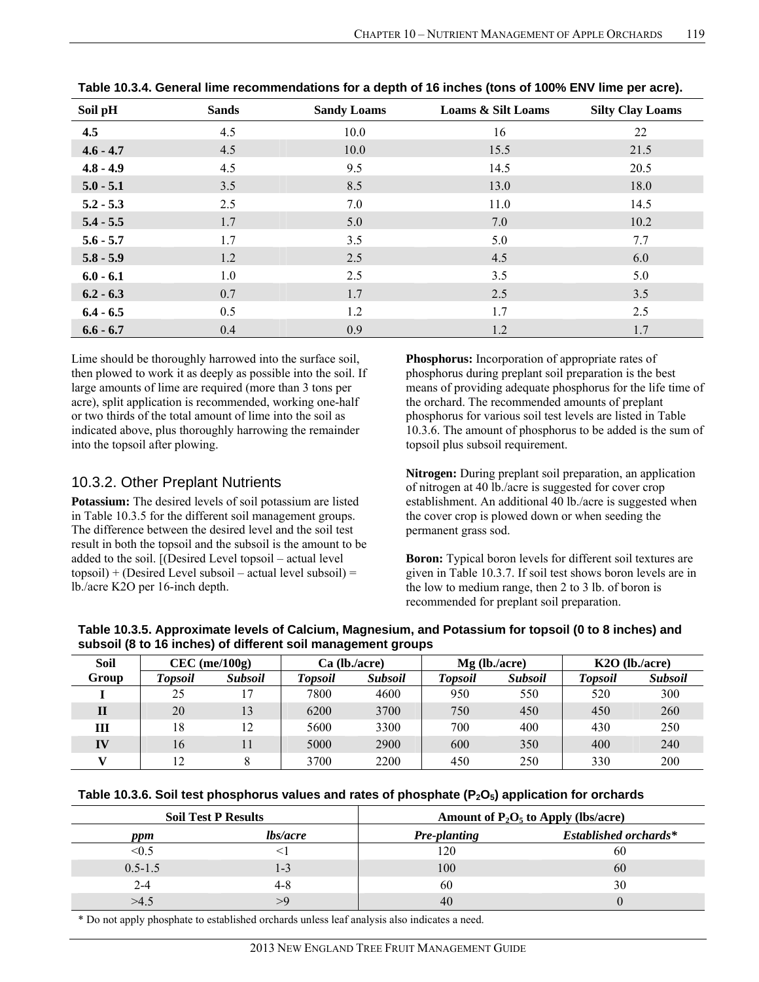| Soil pH     | <b>Sands</b> | <b>Sandy Loams</b> | <b>Loams &amp; Silt Loams</b> | <b>Silty Clay Loams</b> |
|-------------|--------------|--------------------|-------------------------------|-------------------------|
| 4.5         | 4.5          | 10.0               | 16                            | 22                      |
| $4.6 - 4.7$ | 4.5          | 10.0               | 15.5                          | 21.5                    |
| $4.8 - 4.9$ | 4.5          | 9.5                | 14.5                          | 20.5                    |
| $5.0 - 5.1$ | 3.5          | 8.5                | 13.0                          | 18.0                    |
| $5.2 - 5.3$ | 2.5          | 7.0                | 11.0                          | 14.5                    |
| $5.4 - 5.5$ | 1.7          | 5.0                | 7.0                           | 10.2                    |
| $5.6 - 5.7$ | 1.7          | 3.5                | 5.0                           | 7.7                     |
| $5.8 - 5.9$ | 1.2          | 2.5                | 4.5                           | 6.0                     |
| $6.0 - 6.1$ | 1.0          | 2.5                | 3.5                           | 5.0                     |
| $6.2 - 6.3$ | 0.7          | 1.7                | 2.5                           | 3.5                     |
| $6.4 - 6.5$ | 0.5          | 1.2                | 1.7                           | 2.5                     |
| $6.6 - 6.7$ | 0.4          | 0.9                | 1.2                           | 1.7                     |

**Table 10.3.4. General lime recommendations for a depth of 16 inches (tons of 100% ENV lime per acre).** 

Lime should be thoroughly harrowed into the surface soil, then plowed to work it as deeply as possible into the soil. If large amounts of lime are required (more than 3 tons per acre), split application is recommended, working one-half or two thirds of the total amount of lime into the soil as indicated above, plus thoroughly harrowing the remainder into the topsoil after plowing.

#### 10.3.2. Other Preplant Nutrients

**Potassium:** The desired levels of soil potassium are listed in Table 10.3.5 for the different soil management groups. The difference between the desired level and the soil test result in both the topsoil and the subsoil is the amount to be added to the soil. [(Desired Level topsoil – actual level  $topsoil$ ) + (Desired Level subsoil – actual level subsoil) = lb./acre K2O per 16-inch depth.

**Phosphorus:** Incorporation of appropriate rates of phosphorus during preplant soil preparation is the best means of providing adequate phosphorus for the life time of the orchard. The recommended amounts of preplant phosphorus for various soil test levels are listed in Table 10.3.6. The amount of phosphorus to be added is the sum of topsoil plus subsoil requirement.

**Nitrogen:** During preplant soil preparation, an application of nitrogen at 40 lb./acre is suggested for cover crop establishment. An additional 40 lb./acre is suggested when the cover crop is plowed down or when seeding the permanent grass sod.

**Boron:** Typical boron levels for different soil textures are given in Table 10.3.7. If soil test shows boron levels are in the low to medium range, then 2 to 3 lb. of boron is recommended for preplant soil preparation.

**Table 10.3.5. Approximate levels of Calcium, Magnesium, and Potassium for topsoil (0 to 8 inches) and subsoil (8 to 16 inches) of different soil management groups** 

| <b>Soil</b>  | $CEC$ (me/100g) |                |                | Ca (lb./acre)  |                | $Mg$ (lb./acre) | $K2O$ (lb./acre) |                |  |
|--------------|-----------------|----------------|----------------|----------------|----------------|-----------------|------------------|----------------|--|
| Group        | Topsoil         | <b>Subsoil</b> | <b>Topsoil</b> | <b>Subsoil</b> | <b>Topsoil</b> | <b>Subsoil</b>  | <b>Topsoil</b>   | <b>Subsoil</b> |  |
|              | 25              |                | 7800           | 4600           | 950            | 550             | 520              | 300            |  |
| $\mathbf{I}$ | 20              | 13             | 6200           | 3700           | 750            | 450             | 450              | 260            |  |
| Ш            | 18              | 12             | 5600           | 3300           | 700            | 400             | 430              | 250            |  |
| IV           | 16              |                | 5000           | 2900           | 600            | 350             | 400              | 240            |  |
| v            | 12              |                | 3700           | 2200           | 450            | 250             | 330              | 200            |  |

|             | <b>Soil Test P Results</b> | Amount of $P_2O_5$ to Apply (lbs/acre) |                              |  |  |  |
|-------------|----------------------------|----------------------------------------|------------------------------|--|--|--|
| ppm         | <i>lbs/acre</i>            | <b>Pre-planting</b>                    | <b>Established orchards*</b> |  |  |  |
| < 0.5       |                            | 120                                    | 60                           |  |  |  |
| $0.5 - 1.5$ | 1-3                        | 100                                    | 60                           |  |  |  |
| $2 - 4$     | 4-8                        | 60                                     | 30                           |  |  |  |
| >4.5        | $\mathcal{Q}$              | 40                                     |                              |  |  |  |

\* Do not apply phosphate to established orchards unless leaf analysis also indicates a need.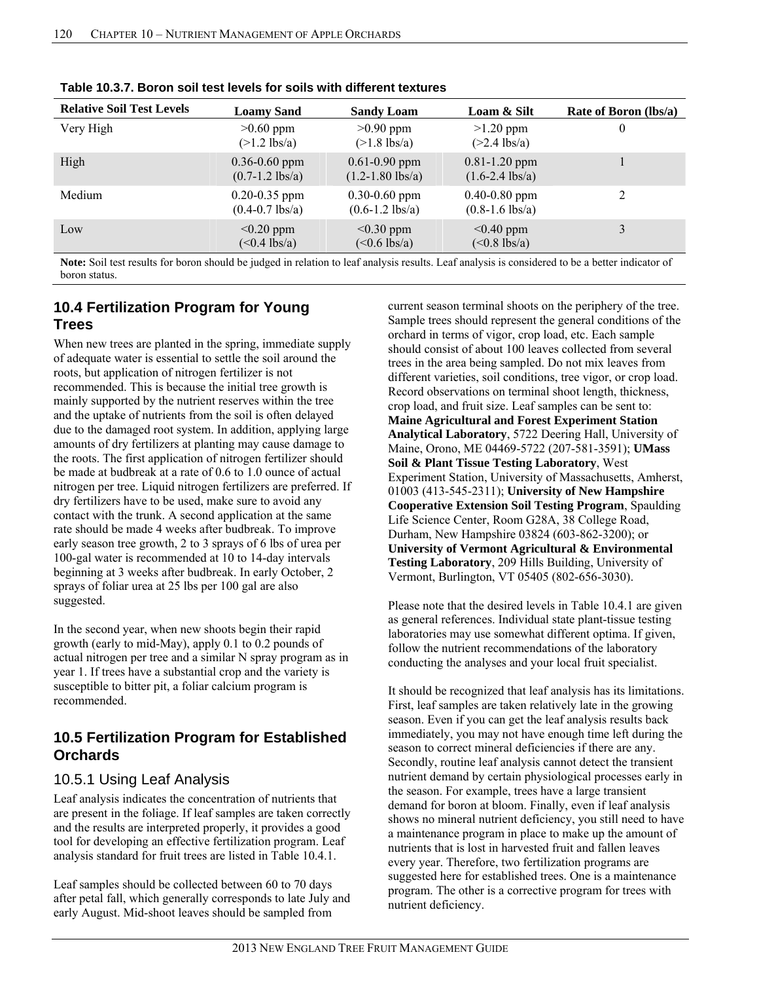| <b>Relative Soil Test Levels</b> | <b>Loamy Sand</b>                                | <b>Sandy Loam</b>                              | Loam & Silt                                      | Rate of Boron (lbs/a) |
|----------------------------------|--------------------------------------------------|------------------------------------------------|--------------------------------------------------|-----------------------|
| Very High                        | $>0.60$ ppm<br>$(>1.2$ lbs/a)                    | $>0.90$ ppm<br>$(>1.8$ lbs/a)                  | $>1.20$ ppm<br>$(>2.4$ lbs/a)                    | 0                     |
| High                             | $0.36 - 0.60$ ppm<br>$(0.7-1.2$ lbs/a)           | $0.61 - 0.90$ ppm<br>$(1.2 - 1.80$ lbs/a)      | $0.81 - 1.20$ ppm<br>$(1.6 - 2.4 \text{ lbs/a})$ |                       |
| Medium                           | $0.20 - 0.35$ ppm<br>$(0.4 - 0.7 \text{ lbs/a})$ | $0.30 - 0.60$ ppm<br>$(0.6-1.2 \text{ lbs/a})$ | $0.40 - 0.80$ ppm<br>$(0.8-1.6$ lbs/a)           | 2                     |
| Low                              | $< 0.20$ ppm<br>$(<0.4$ lbs/a)                   | $\leq 0.30$ ppm<br>$(<0.6$ lbs/a)              | $< 0.40$ ppm<br>$(<0.8$ lbs/a)                   |                       |

**Table 10.3.7. Boron soil test levels for soils with different textures** 

**Note:** Soil test results for boron should be judged in relation to leaf analysis results. Leaf analysis is considered to be a better indicator of boron status.

## **10.4 Fertilization Program for Young Trees**

When new trees are planted in the spring, immediate supply of adequate water is essential to settle the soil around the roots, but application of nitrogen fertilizer is not recommended. This is because the initial tree growth is mainly supported by the nutrient reserves within the tree and the uptake of nutrients from the soil is often delayed due to the damaged root system. In addition, applying large amounts of dry fertilizers at planting may cause damage to the roots. The first application of nitrogen fertilizer should be made at budbreak at a rate of 0.6 to 1.0 ounce of actual nitrogen per tree. Liquid nitrogen fertilizers are preferred. If dry fertilizers have to be used, make sure to avoid any contact with the trunk. A second application at the same rate should be made 4 weeks after budbreak. To improve early season tree growth, 2 to 3 sprays of 6 lbs of urea per 100-gal water is recommended at 10 to 14-day intervals beginning at 3 weeks after budbreak. In early October, 2 sprays of foliar urea at 25 lbs per 100 gal are also suggested.

In the second year, when new shoots begin their rapid growth (early to mid-May), apply 0.1 to 0.2 pounds of actual nitrogen per tree and a similar N spray program as in year 1. If trees have a substantial crop and the variety is susceptible to bitter pit, a foliar calcium program is recommended.

## **10.5 Fertilization Program for Established Orchards**

## 10.5.1 Using Leaf Analysis

Leaf analysis indicates the concentration of nutrients that are present in the foliage. If leaf samples are taken correctly and the results are interpreted properly, it provides a good tool for developing an effective fertilization program. Leaf analysis standard for fruit trees are listed in Table 10.4.1.

Leaf samples should be collected between 60 to 70 days after petal fall, which generally corresponds to late July and early August. Mid-shoot leaves should be sampled from

current season terminal shoots on the periphery of the tree. Sample trees should represent the general conditions of the orchard in terms of vigor, crop load, etc. Each sample should consist of about 100 leaves collected from several trees in the area being sampled. Do not mix leaves from different varieties, soil conditions, tree vigor, or crop load. Record observations on terminal shoot length, thickness, crop load, and fruit size. Leaf samples can be sent to: **Maine Agricultural and Forest Experiment Station Analytical Laboratory**, 5722 Deering Hall, University of Maine, Orono, ME 04469-5722 (207-581-3591); **UMass Soil & Plant Tissue Testing Laboratory**, West Experiment Station, University of Massachusetts, Amherst, 01003 (413-545-2311); **University of New Hampshire Cooperative Extension Soil Testing Program**, Spaulding Life Science Center, Room G28A, 38 College Road, Durham, New Hampshire 03824 (603-862-3200); or **University of Vermont Agricultural & Environmental Testing Laboratory**, 209 Hills Building, University of Vermont, Burlington, VT 05405 (802-656-3030).

Please note that the desired levels in Table 10.4.1 are given as general references. Individual state plant-tissue testing laboratories may use somewhat different optima. If given, follow the nutrient recommendations of the laboratory conducting the analyses and your local fruit specialist.

It should be recognized that leaf analysis has its limitations. First, leaf samples are taken relatively late in the growing season. Even if you can get the leaf analysis results back immediately, you may not have enough time left during the season to correct mineral deficiencies if there are any. Secondly, routine leaf analysis cannot detect the transient nutrient demand by certain physiological processes early in the season. For example, trees have a large transient demand for boron at bloom. Finally, even if leaf analysis shows no mineral nutrient deficiency, you still need to have a maintenance program in place to make up the amount of nutrients that is lost in harvested fruit and fallen leaves every year. Therefore, two fertilization programs are suggested here for established trees. One is a maintenance program. The other is a corrective program for trees with nutrient deficiency.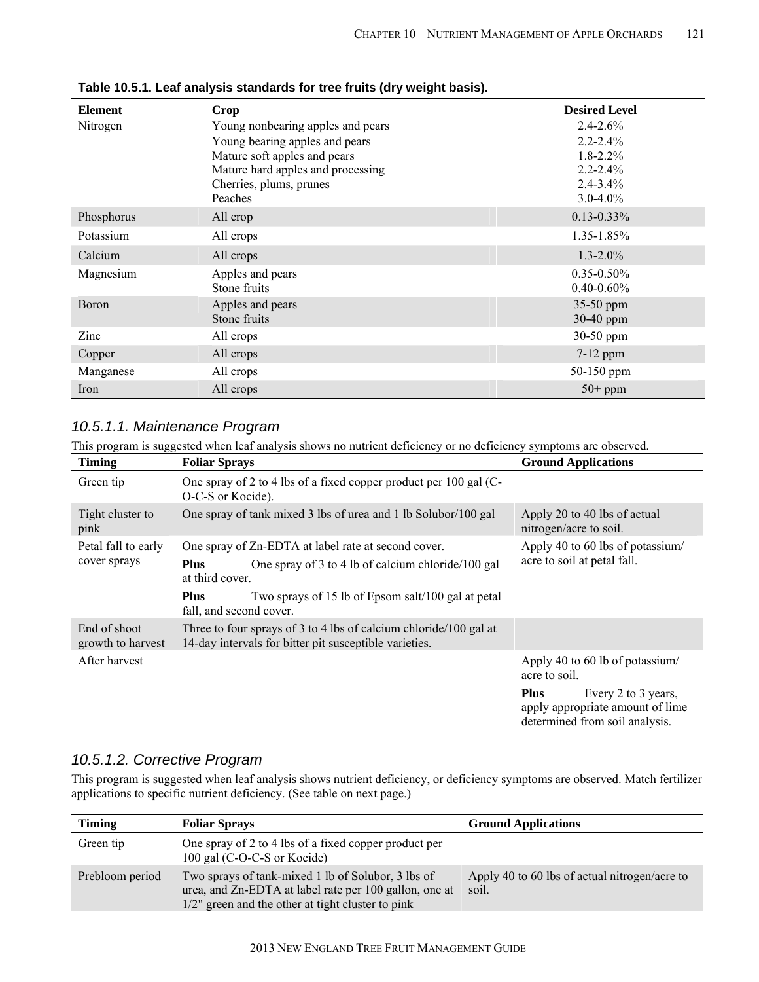| <b>Element</b> | <b>Crop</b>                       | <b>Desired Level</b> |
|----------------|-----------------------------------|----------------------|
| Nitrogen       | Young nonbearing apples and pears | $2.4 - 2.6\%$        |
|                | Young bearing apples and pears    | $2.2 - 2.4\%$        |
|                | Mature soft apples and pears      | $1.8 - 2.2\%$        |
|                | Mature hard apples and processing | $2.2 - 2.4\%$        |
|                | Cherries, plums, prunes           | $2.4 - 3.4\%$        |
|                | Peaches                           | $3.0 - 4.0\%$        |
| Phosphorus     | All crop                          | $0.13 - 0.33\%$      |
| Potassium      | All crops                         | 1.35-1.85%           |
| Calcium        | All crops                         | $1.3 - 2.0\%$        |
| Magnesium      | Apples and pears                  | $0.35 - 0.50\%$      |
|                | Stone fruits                      | $0.40 - 0.60\%$      |
| Boron          | Apples and pears                  | 35-50 ppm            |
|                | Stone fruits                      | 30-40 ppm            |
| Zinc           | All crops                         | 30-50 ppm            |
| Copper         | All crops                         | $7-12$ ppm           |
| Manganese      | All crops                         | 50-150 ppm           |
| Iron           | All crops                         | $50+$ ppm            |

**Table 10.5.1. Leaf analysis standards for tree fruits (dry weight basis).** 

## *10.5.1.1. Maintenance Program*

This program is suggested when leaf analysis shows no nutrient deficiency or no deficiency symptoms are observed.

| Timing                              | <b>Foliar Sprays</b>                                                                                                                                                                                                                        | <b>Ground Applications</b>                                                                               |
|-------------------------------------|---------------------------------------------------------------------------------------------------------------------------------------------------------------------------------------------------------------------------------------------|----------------------------------------------------------------------------------------------------------|
| Green tip                           | One spray of 2 to 4 lbs of a fixed copper product per 100 gal (C-<br>O-C-S or Kocide).                                                                                                                                                      |                                                                                                          |
| Tight cluster to<br>pink            | One spray of tank mixed 3 lbs of urea and 1 lb Solubor/100 gal                                                                                                                                                                              | Apply 20 to 40 lbs of actual<br>nitrogen/acre to soil.                                                   |
| Petal fall to early<br>cover sprays | One spray of Zn-EDTA at label rate at second cover.<br>One spray of 3 to 4 lb of calcium chloride/100 gal<br><b>Plus</b><br>at third cover.<br><b>Plus</b><br>Two sprays of 15 lb of Epsom salt/100 gal at petal<br>fall, and second cover. | Apply 40 to 60 lbs of potassium/<br>acre to soil at petal fall.                                          |
| End of shoot<br>growth to harvest   | Three to four sprays of 3 to 4 lbs of calcium chloride/100 gal at<br>14-day intervals for bitter pit susceptible varieties.                                                                                                                 |                                                                                                          |
| After harvest                       |                                                                                                                                                                                                                                             | Apply 40 to 60 lb of potassium/<br>acre to soil.                                                         |
|                                     |                                                                                                                                                                                                                                             | <b>Plus</b><br>Every 2 to 3 years,<br>apply appropriate amount of lime<br>determined from soil analysis. |

## *10.5.1.2. Corrective Program*

This program is suggested when leaf analysis shows nutrient deficiency, or deficiency symptoms are observed. Match fertilizer applications to specific nutrient deficiency. (See table on next page.)

| <b>Timing</b>   | <b>Foliar Sprays</b>                                                                                                                                                 | <b>Ground Applications</b>                             |
|-----------------|----------------------------------------------------------------------------------------------------------------------------------------------------------------------|--------------------------------------------------------|
| Green tip       | One spray of 2 to 4 lbs of a fixed copper product per<br>100 gal (C-O-C-S or Kocide)                                                                                 |                                                        |
| Prebloom period | Two sprays of tank-mixed 1 lb of Solubor, 3 lbs of<br>urea, and Zn-EDTA at label rate per 100 gallon, one at<br>$1/2$ " green and the other at tight cluster to pink | Apply 40 to 60 lbs of actual nitrogen/acre to<br>soil. |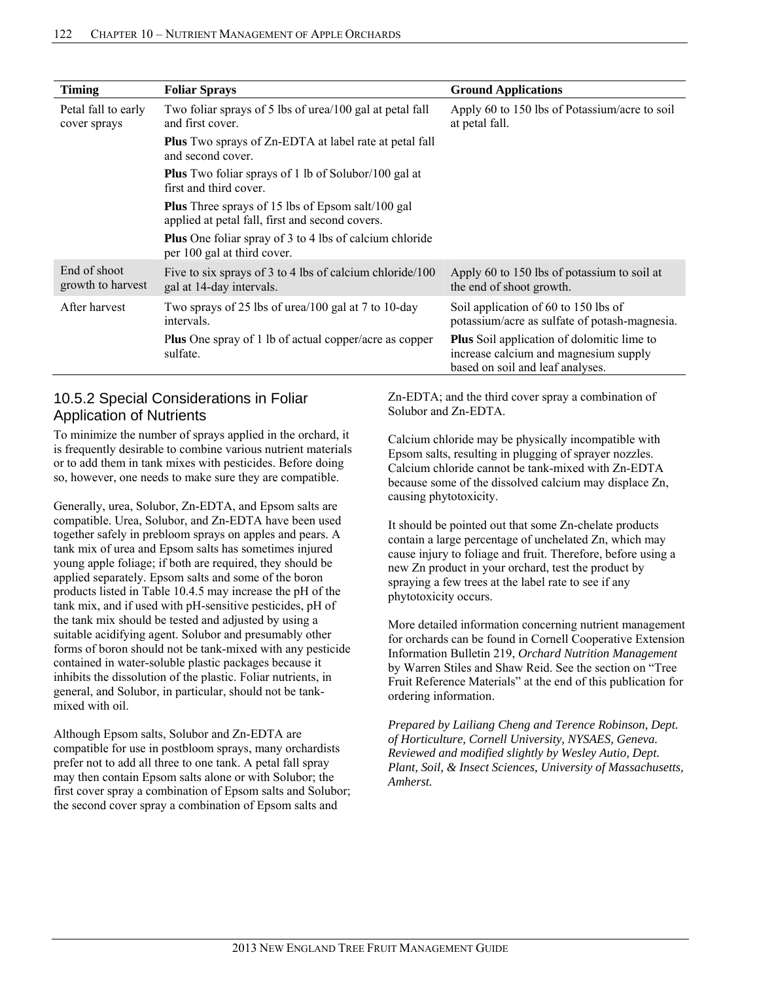| <b>Timing</b>                       | <b>Foliar Sprays</b>                                                                                        | <b>Ground Applications</b>                                                                                                     |
|-------------------------------------|-------------------------------------------------------------------------------------------------------------|--------------------------------------------------------------------------------------------------------------------------------|
| Petal fall to early<br>cover sprays | Two foliar sprays of 5 lbs of urea/100 gal at petal fall<br>and first cover.                                | Apply 60 to 150 lbs of Potassium/acre to soil<br>at petal fall.                                                                |
|                                     | <b>Plus</b> Two sprays of Zn-EDTA at label rate at petal fall<br>and second cover.                          |                                                                                                                                |
|                                     | <b>Plus</b> Two foliar sprays of 1 lb of Solubor/100 gal at<br>first and third cover.                       |                                                                                                                                |
|                                     | <b>Plus</b> Three sprays of 15 lbs of Epsom salt/100 gal<br>applied at petal fall, first and second covers. |                                                                                                                                |
|                                     | <b>Plus</b> One foliar spray of 3 to 4 lbs of calcium chloride<br>per 100 gal at third cover.               |                                                                                                                                |
| End of shoot<br>growth to harvest   | Five to six sprays of 3 to 4 lbs of calcium chloride/100<br>gal at 14-day intervals.                        | Apply 60 to 150 lbs of potassium to soil at<br>the end of shoot growth.                                                        |
| After harvest                       | Two sprays of 25 lbs of urea/100 gal at 7 to 10-day<br>intervals.                                           | Soil application of 60 to 150 lbs of<br>potassium/acre as sulfate of potash-magnesia.                                          |
|                                     | <b>Plus</b> One spray of 1 lb of actual copper/acre as copper<br>sulfate.                                   | <b>Plus</b> Soil application of dolomitic lime to<br>increase calcium and magnesium supply<br>based on soil and leaf analyses. |

### 10.5.2 Special Considerations in Foliar Application of Nutrients

To minimize the number of sprays applied in the orchard, it is frequently desirable to combine various nutrient materials or to add them in tank mixes with pesticides. Before doing so, however, one needs to make sure they are compatible.

Generally, urea, Solubor, Zn-EDTA, and Epsom salts are compatible. Urea, Solubor, and Zn-EDTA have been used together safely in prebloom sprays on apples and pears. A tank mix of urea and Epsom salts has sometimes injured young apple foliage; if both are required, they should be applied separately. Epsom salts and some of the boron products listed in Table 10.4.5 may increase the pH of the tank mix, and if used with pH-sensitive pesticides, pH of the tank mix should be tested and adjusted by using a suitable acidifying agent. Solubor and presumably other forms of boron should not be tank-mixed with any pesticide contained in water-soluble plastic packages because it inhibits the dissolution of the plastic. Foliar nutrients, in general, and Solubor, in particular, should not be tankmixed with oil.

Although Epsom salts, Solubor and Zn-EDTA are compatible for use in postbloom sprays, many orchardists prefer not to add all three to one tank. A petal fall spray may then contain Epsom salts alone or with Solubor; the first cover spray a combination of Epsom salts and Solubor; the second cover spray a combination of Epsom salts and

Zn-EDTA; and the third cover spray a combination of Solubor and Zn-EDTA.

Calcium chloride may be physically incompatible with Epsom salts, resulting in plugging of sprayer nozzles. Calcium chloride cannot be tank-mixed with Zn-EDTA because some of the dissolved calcium may displace Zn, causing phytotoxicity.

It should be pointed out that some Zn-chelate products contain a large percentage of unchelated Zn, which may cause injury to foliage and fruit. Therefore, before using a new Zn product in your orchard, test the product by spraying a few trees at the label rate to see if any phytotoxicity occurs.

More detailed information concerning nutrient management for orchards can be found in Cornell Cooperative Extension Information Bulletin 219, *Orchard Nutrition Management* by Warren Stiles and Shaw Reid. See the section on "Tree Fruit Reference Materials" at the end of this publication for ordering information.

*Prepared by Lailiang Cheng and Terence Robinson, Dept. of Horticulture, Cornell University, NYSAES, Geneva. Reviewed and modified slightly by Wesley Autio, Dept. Plant, Soil, & Insect Sciences, University of Massachusetts, Amherst.*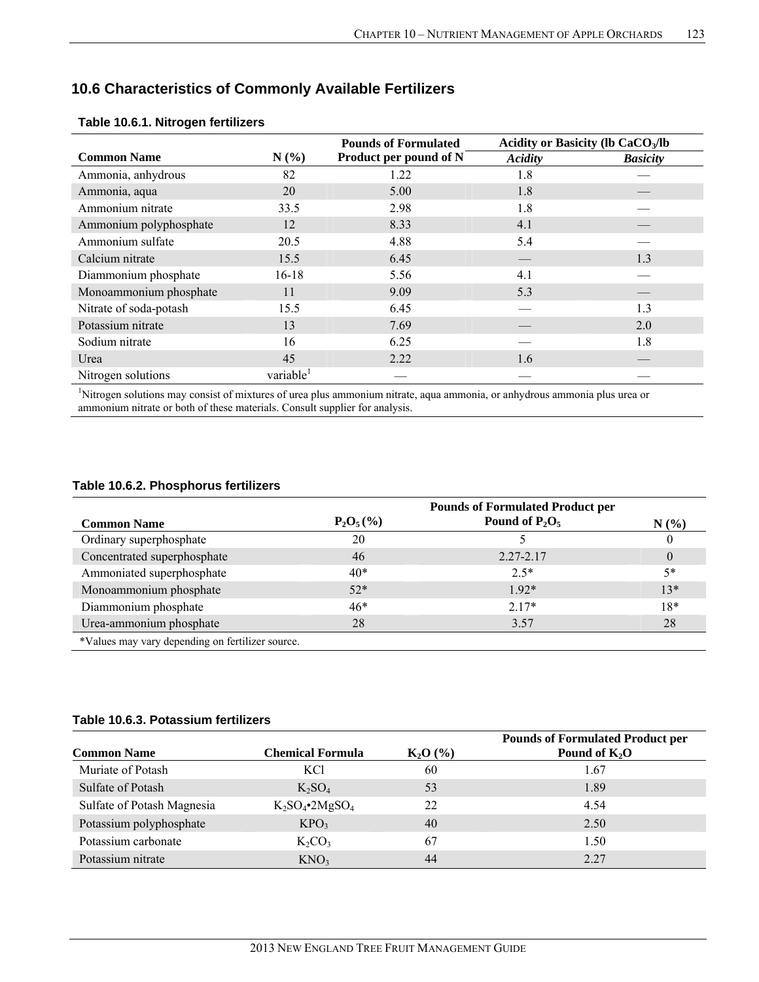## **10.6 Characteristics of Commonly Available Fertilizers**

|                        |                       | <b>Pounds of Formulated</b> | Acidity or Basicity (lb CaCO <sub>3</sub> /lb |                 |
|------------------------|-----------------------|-----------------------------|-----------------------------------------------|-----------------|
| <b>Common Name</b>     | N(%)                  | Product per pound of N      | Acidity                                       | <b>Basicity</b> |
| Ammonia, anhydrous     | 82                    | 1.22                        | 1.8                                           |                 |
| Ammonia, aqua          | 20                    | 5.00                        | 1.8                                           |                 |
| Ammonium nitrate       | 33.5                  | 2.98                        | 1.8                                           |                 |
| Ammonium polyphosphate | 12                    | 8.33                        | 4.1                                           |                 |
| Ammonium sulfate       | 20.5                  | 4.88                        | 5.4                                           |                 |
| Calcium nitrate        | 15.5                  | 6.45                        |                                               | 1.3             |
| Diammonium phosphate   | $16 - 18$             | 5.56                        | 4.1                                           |                 |
| Monoammonium phosphate | 11                    | 9.09                        | 5.3                                           |                 |
| Nitrate of soda-potash | 15.5                  | 6.45                        |                                               | 1.3             |
| Potassium nitrate      | 13                    | 7.69                        |                                               | 2.0             |
| Sodium nitrate         | 16                    | 6.25                        |                                               | 1.8             |
| Urea                   | 45                    | 2.22                        | 1.6                                           |                 |
| Nitrogen solutions     | variable <sup>1</sup> |                             |                                               |                 |

#### **Table 10.6.1. Nitrogen fertilizers**

1 Nitrogen solutions may consist of mixtures of urea plus ammonium nitrate, aqua ammonia, or anhydrous ammonia plus urea or ammonium nitrate or both of these materials. Consult supplier for analysis.

#### **Table 10.6.2. Phosphorus fertilizers**

|                                                  |              | <b>Pounds of Formulated Product per</b> |          |
|--------------------------------------------------|--------------|-----------------------------------------|----------|
| <b>Common Name</b>                               | $P_2O_5(\%)$ | Pound of $P_2O_5$                       | N(%)     |
| Ordinary superphosphate                          | 20           |                                         | $\theta$ |
| Concentrated superphosphate                      | 46           | $2.27 - 2.17$                           | $\theta$ |
| Ammoniated superphosphate                        | $40*$        | $2.5*$                                  | $5*$     |
| Monoammonium phosphate                           | $52*$        | $192*$                                  | $13*$    |
| Diammonium phosphate                             | $46*$        | $2.17*$                                 | $18*$    |
| Urea-ammonium phosphate                          | 28           | 3.57                                    | 28       |
| *Values may vary depending on fertilizer source. |              |                                         |          |

#### **Table 10.6.3. Potassium fertilizers**

| <b>Common Name</b>         | <b>Chemical Formula</b>       | $K_2O(%)$ | <b>Pounds of Formulated Product per</b><br>Pound of $K_2O$ |
|----------------------------|-------------------------------|-----------|------------------------------------------------------------|
| Muriate of Potash          | <b>KCI</b>                    | 60        | 1.67                                                       |
| Sulfate of Potash          | $K_2SO_4$                     | 53        | 1.89                                                       |
| Sulfate of Potash Magnesia | $K_2SO_4$ •2MgSO <sub>4</sub> | 22        | 4.54                                                       |
| Potassium polyphosphate    | KPO <sub>3</sub>              | 40        | 2.50                                                       |
| Potassium carbonate        | $K_2CO_3$                     | 67        | 1.50                                                       |
| Potassium nitrate          | KNO <sub>3</sub>              | 44        | 2.27                                                       |